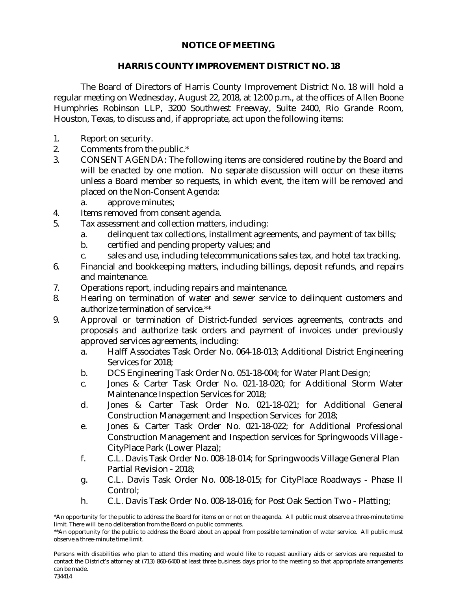## **NOTICE OF MEETING**

## **HARRIS COUNTY IMPROVEMENT DISTRICT NO. 18**

The Board of Directors of Harris County Improvement District No. 18 will hold a regular meeting on Wednesday, August 22, 2018, at 12:00 p.m., at the offices of Allen Boone Humphries Robinson LLP, 3200 Southwest Freeway, Suite 2400, Rio Grande Room, Houston, Texas, to discuss and, if appropriate, act upon the following items:

- 1. Report on security.
- 2. Comments from the public.\*
- 3. CONSENT AGENDA: The following items are considered routine by the Board and will be enacted by one motion. No separate discussion will occur on these items unless a Board member so requests, in which event, the item will be removed and placed on the Non-Consent Agenda:
	- a. approve minutes;
- 4. Items removed from consent agenda.
- 5. Tax assessment and collection matters, including:
	- a. delinquent tax collections, installment agreements, and payment of tax bills;
	- b. certified and pending property values; and
	- c. sales and use, including telecommunications sales tax, and hotel tax tracking.
- 6. Financial and bookkeeping matters, including billings, deposit refunds, and repairs and maintenance.
- 7. Operations report, including repairs and maintenance.
- 8. Hearing on termination of water and sewer service to delinquent customers and authorize termination of service.\*\*
- 9. Approval or termination of District-funded services agreements, contracts and proposals and authorize task orders and payment of invoices under previously approved services agreements, including:
	- a. Halff Associates Task Order No. 064-18-013; Additional District Engineering Services for 2018;
	- b. DCS Engineering Task Order No. 051-18-004; for Water Plant Design;
	- c. Jones & Carter Task Order No. 021-18-020; for Additional Storm Water Maintenance Inspection Services for 2018;
	- d. Jones & Carter Task Order No. 021-18-021; for Additional General Construction Management and Inspection Services for 2018;
	- e. Jones & Carter Task Order No. 021-18-022; for Additional Professional Construction Management and Inspection services for Springwoods Village - CityPlace Park (Lower Plaza);
	- f. C.L. Davis Task Order No. 008-18-014; for Springwoods Village General Plan Partial Revision - 2018;
	- g. C.L. Davis Task Order No. 008-18-015; for CityPlace Roadways Phase II Control;
	- h. C.L. Davis Task Order No. 008-18-016; for Post Oak Section Two Platting;

Persons with disabilities who plan to attend this meeting and would like to request auxiliary aids or services are requested to contact the District's attorney at (713) 860-6400 at least three business days prior to the meeting so that appropriate arrangements can be made.

734414

<sup>\*</sup>An opportunity for the public to address the Board for items on or not on the agenda. All public must observe a three-minute time limit. There will be no deliberation from the Board on public comments.

<sup>\*\*</sup>An opportunity for the public to address the Board about an appeal from possible termination of water service. All public must observe a three-minute time limit.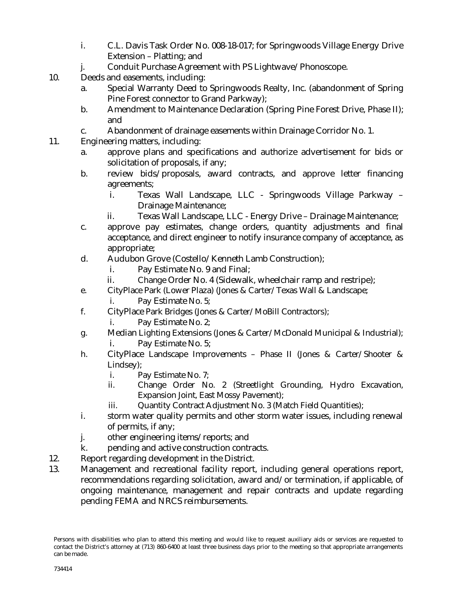- i. C.L. Davis Task Order No. 008-18-017; for Springwoods Village Energy Drive Extension – Platting; and
- j. Conduit Purchase Agreement with PS Lightwave/Phonoscope.
- 10. Deeds and easements, including:
	- a. Special Warranty Deed to Springwoods Realty, Inc. (abandonment of Spring Pine Forest connector to Grand Parkway);
	- b. Amendment to Maintenance Declaration (Spring Pine Forest Drive, Phase II); and
	- c. Abandonment of drainage easements within Drainage Corridor No. 1.
- 11. Engineering matters, including:
	- a. approve plans and specifications and authorize advertisement for bids or solicitation of proposals, if any;
	- b. review bids/proposals, award contracts, and approve letter financing agreements;
		- i. Texas Wall Landscape, LLC Springwoods Village Parkway Drainage Maintenance;
		- ii. Texas Wall Landscape, LLC Energy Drive Drainage Maintenance;
	- c. approve pay estimates, change orders, quantity adjustments and final acceptance, and direct engineer to notify insurance company of acceptance, as appropriate;
	- d. Audubon Grove (Costello/Kenneth Lamb Construction);
		- i. Pay Estimate No. 9 and Final;
		- ii. Change Order No. 4 (Sidewalk, wheelchair ramp and restripe);
	- e. CityPlace Park (Lower Plaza) (Jones & Carter/Texas Wall & Landscape;
		- i. Pay Estimate No. 5;
	- f. CityPlace Park Bridges (Jones & Carter/MoBill Contractors);
		- i. Pay Estimate No. 2;
	- g. Median Lighting Extensions (Jones & Carter/McDonald Municipal & Industrial); i. Pay Estimate No. 5;
	- h. CityPlace Landscape Improvements Phase II (Jones & Carter/Shooter & Lindsey);
		- i. Pay Estimate No. 7;
		- ii. Change Order No. 2 (Streetlight Grounding, Hydro Excavation, Expansion Joint, East Mossy Pavement);
		- iii. Quantity Contract Adjustment No. 3 (Match Field Quantities);
	- i. storm water quality permits and other storm water issues, including renewal of permits, if any;
	- j. other engineering items/reports; and
	- k. pending and active construction contracts.
- 12. Report regarding development in the District.
- 13. Management and recreational facility report, including general operations report, recommendations regarding solicitation, award and/or termination, if applicable, of ongoing maintenance, management and repair contracts and update regarding pending FEMA and NRCS reimbursements.

Persons with disabilities who plan to attend this meeting and would like to request auxiliary aids or services are requested to contact the District's attorney at (713) 860-6400 at least three business days prior to the meeting so that appropriate arrangements can be made.